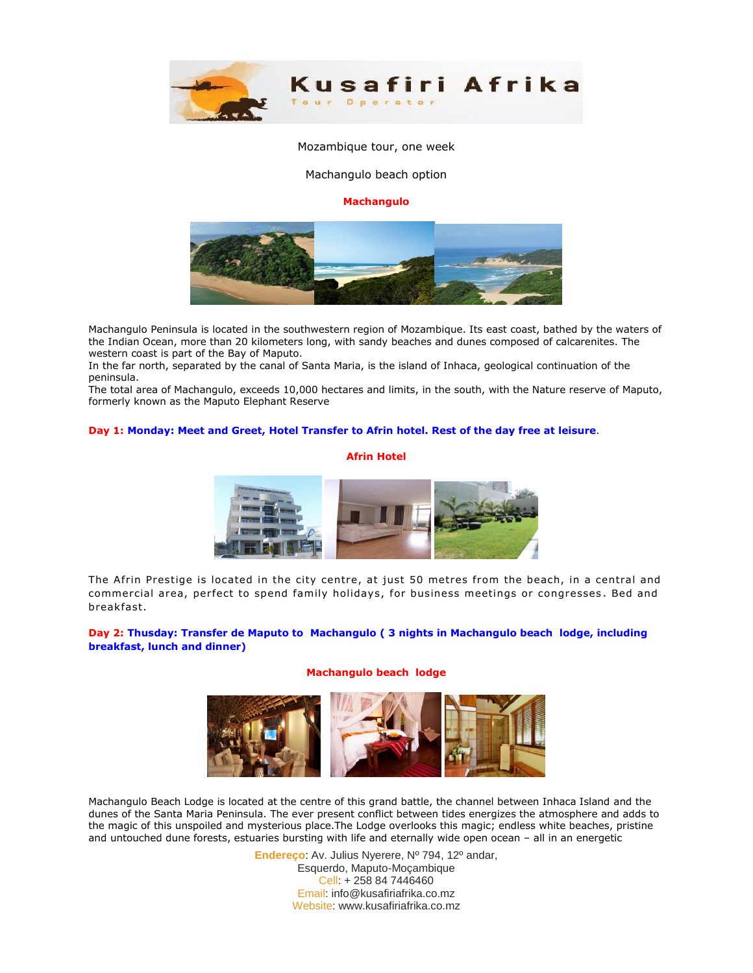

#### Mozambique tour, one week

Machangulo beach option

#### **Machangulo**



Machangulo Peninsula is located in the southwestern region of Mozambique. Its east coast, bathed by the waters of the Indian Ocean, more than 20 kilometers long, with sandy beaches and dunes composed of calcarenites. The western coast is part of the Bay of Maputo.

In the far north, separated by the canal of Santa Maria, is the island of Inhaca, geological continuation of the peninsula.

The total area of Machangulo, exceeds 10,000 hectares and limits, in the south, with the Nature reserve of Maputo, formerly known as the Maputo Elephant Reserve

#### **Day 1: Monday: Meet and Greet, Hotel Transfer to Afrin hotel. Rest of the day free at leisure**.

#### **Afrin Hotel**



The Afrin Prestige is located in the city centre, at just 50 metres from the beach, in a central and commercial area, per fect to spend family holidays , for business meetings or congresses **.** Bed and breakfast.

## **Day 2: Thusday: Transfer de Maputo to Machangulo ( 3 nights in Machangulo beach lodge, including breakfast, lunch and dinner)**

## **Machangulo beach lodge**



Machangulo Beach Lodge is located at the centre of this grand battle, the channel between Inhaca Island and the dunes of the Santa Maria Peninsula. The ever present conflict between tides energizes the atmosphere and adds to the magic of this unspoiled and mysterious place.The Lodge overlooks this magic; endless white beaches, pristine and untouched dune forests, estuaries bursting with life and eternally wide open ocean – all in an energetic

> **Endereço**: Av. Julius Nyerere, Nº 794, 12º andar, Esquerdo, Maputo-Moçambique Cell: + 258 84 7446460 Email: info@kusafiriafrika.co.mz Website: www.kusafiriafrika.co.mz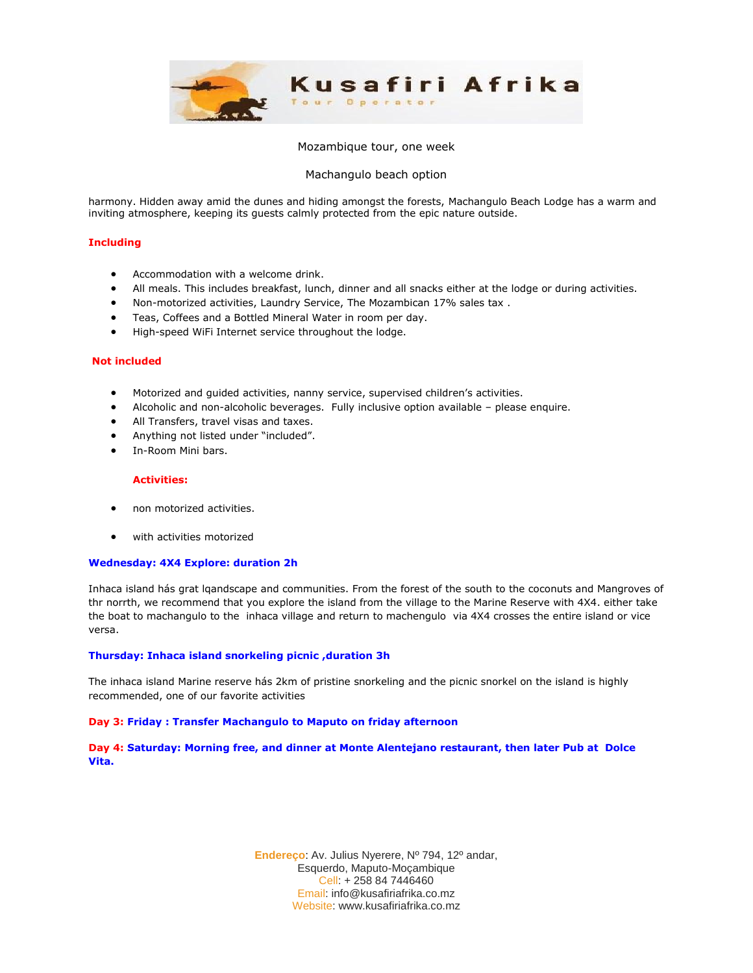

#### Mozambique tour, one week

## Machangulo beach option

harmony. Hidden away amid the dunes and hiding amongst the forests, Machangulo Beach Lodge has a warm and inviting atmosphere, keeping its guests calmly protected from the epic nature outside.

### **Including**

- Accommodation with a welcome drink.
- All meals. This includes breakfast, lunch, dinner and all snacks either at the lodge or during activities.
- Non-motorized activities, Laundry Service, The Mozambican 17% sales tax .
- Teas, Coffees and a Bottled Mineral Water in room per day.
- High-speed WiFi Internet service throughout the lodge.

#### **Not included**

- Motorized and guided activities, nanny service, supervised children's activities.
- Alcoholic and non-alcoholic beverages. Fully inclusive option available please enquire.
- All Transfers, travel visas and taxes.
- Anything not listed under "included".
- In-Room Mini bars.

#### **Activities:**

- non motorized activities.
- with activities motorized

#### **Wednesday: 4X4 Explore: duration 2h**

Inhaca island hás grat lqandscape and communities. From the forest of the south to the coconuts and Mangroves of thr norrth, we recommend that you explore the island from the village to the Marine Reserve with 4X4. either take the boat to machangulo to the inhaca village and return to machengulo via 4X4 crosses the entire island or vice versa.

#### **Thursday: Inhaca island snorkeling picnic ,duration 3h**

The inhaca island Marine reserve hás 2km of pristine snorkeling and the picnic snorkel on the island is highly recommended, one of our favorite activities

## **Day 3: Friday : Transfer Machangulo to Maputo on friday afternoon**

**Day 4: Saturday: Morning free, and dinner at Monte Alentejano restaurant, then later Pub at Dolce Vita.**

> **Endereço**: Av. Julius Nyerere, Nº 794, 12º andar, Esquerdo, Maputo-Moçambique Cell: + 258 84 7446460 Email: info@kusafiriafrika.co.mz Website: www.kusafiriafrika.co.mz